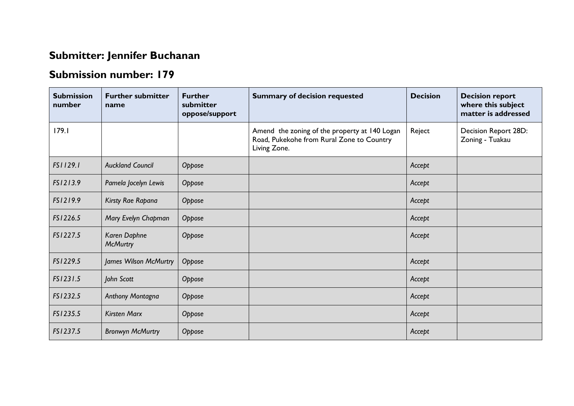## **Submitter: Jennifer Buchanan**

## **Submission number: 179**

| <b>Submission</b><br>number | <b>Further submitter</b><br>name | <b>Further</b><br>submitter<br>oppose/support | <b>Summary of decision requested</b>                                                                       | <b>Decision</b> | <b>Decision report</b><br>where this subject<br>matter is addressed |
|-----------------------------|----------------------------------|-----------------------------------------------|------------------------------------------------------------------------------------------------------------|-----------------|---------------------------------------------------------------------|
| 179.1                       |                                  |                                               | Amend the zoning of the property at 140 Logan<br>Road, Pukekohe from Rural Zone to Country<br>Living Zone. | Reject          | Decision Report 28D:<br>Zoning - Tuakau                             |
| FS1129.1                    | <b>Auckland Council</b>          | Oppose                                        |                                                                                                            | Accept          |                                                                     |
| FS1213.9                    | Pamela Jocelyn Lewis             | Oppose                                        |                                                                                                            | Accept          |                                                                     |
| FS1219.9                    | Kirsty Rae Rapana                | Oppose                                        |                                                                                                            | Accept          |                                                                     |
| FS1226.5                    | Mary Evelyn Chapman              | Oppose                                        |                                                                                                            | Accept          |                                                                     |
| FS1227.5                    | Karen Daphne<br><b>McMurtry</b>  | Oppose                                        |                                                                                                            | Accept          |                                                                     |
| FS1229.5                    | James Wilson McMurtry            | Oppose                                        |                                                                                                            | Accept          |                                                                     |
| FS1231.5                    | John Scott                       | Oppose                                        |                                                                                                            | Accept          |                                                                     |
| FS1232.5                    | Anthony Montagna                 | Oppose                                        |                                                                                                            | Accept          |                                                                     |
| FS1235.5                    | <b>Kirsten Marx</b>              | Oppose                                        |                                                                                                            | Accept          |                                                                     |
| FS1237.5                    | <b>Bronwyn McMurtry</b>          | Oppose                                        |                                                                                                            | Accept          |                                                                     |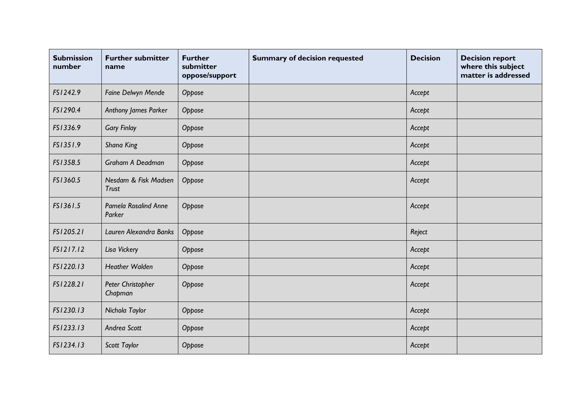| <b>Submission</b><br>number | <b>Further submitter</b><br>name     | <b>Further</b><br>submitter<br>oppose/support | <b>Summary of decision requested</b> | <b>Decision</b> | <b>Decision report</b><br>where this subject<br>matter is addressed |
|-----------------------------|--------------------------------------|-----------------------------------------------|--------------------------------------|-----------------|---------------------------------------------------------------------|
| FS1242.9                    | Faine Delwyn Mende                   | Oppose                                        |                                      | Accept          |                                                                     |
| FS1290.4                    | Anthony James Parker                 | Oppose                                        |                                      | Accept          |                                                                     |
| FS1336.9                    | <b>Gary Finlay</b>                   | Oppose                                        |                                      | Accept          |                                                                     |
| FS1351.9                    | <b>Shana King</b>                    | Oppose                                        |                                      | Accept          |                                                                     |
| FS1358.5                    | Graham A Deadman                     | Oppose                                        |                                      | Accept          |                                                                     |
| FS1360.5                    | Nesdam & Fisk Madsen<br><b>Trust</b> | Oppose                                        |                                      | Accept          |                                                                     |
| FS1361.5                    | Pamela Rosalind Anne<br>Parker       | Oppose                                        |                                      | Accept          |                                                                     |
| FS1205.21                   | Lauren Alexandra Banks               | Oppose                                        |                                      | Reject          |                                                                     |
| FS1217.12                   | Lisa Vickery                         | Oppose                                        |                                      | Accept          |                                                                     |
| FS1220.13                   | <b>Heather Walden</b>                | Oppose                                        |                                      | Accept          |                                                                     |
| FS1228.21                   | Peter Christopher<br>Chapman         | Oppose                                        |                                      | Accept          |                                                                     |
| FS1230.13                   | Nichola Taylor                       | Oppose                                        |                                      | Accept          |                                                                     |
| FS1233.13                   | Andrea Scott                         | Oppose                                        |                                      | Accept          |                                                                     |
| FS1234.13                   | Scott Taylor                         | Oppose                                        |                                      | Accept          |                                                                     |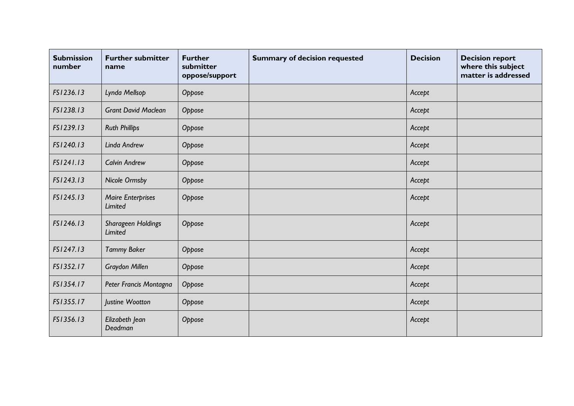| <b>Submission</b><br>number | <b>Further submitter</b><br>name           | <b>Further</b><br>submitter<br>oppose/support | <b>Summary of decision requested</b> | <b>Decision</b> | <b>Decision report</b><br>where this subject<br>matter is addressed |
|-----------------------------|--------------------------------------------|-----------------------------------------------|--------------------------------------|-----------------|---------------------------------------------------------------------|
| FS1236.13                   | Lynda Mellsop                              | Oppose                                        |                                      | Accept          |                                                                     |
| FS1238.13                   | <b>Grant David Maclean</b>                 | Oppose                                        |                                      | Accept          |                                                                     |
| FS1239.13                   | <b>Ruth Phillips</b>                       | Oppose                                        |                                      | Accept          |                                                                     |
| FS1240.13                   | Linda Andrew                               | Oppose                                        |                                      | Accept          |                                                                     |
| FS1241.13                   | <b>Calvin Andrew</b>                       | Oppose                                        |                                      | Accept          |                                                                     |
| FS1243.13                   | <b>Nicole Ormsby</b>                       | Oppose                                        |                                      | Accept          |                                                                     |
| FS1245.13                   | <b>Maire Enterprises</b><br><b>Limited</b> | Oppose                                        |                                      | Accept          |                                                                     |
| FS1246.13                   | Sharageen Holdings<br><b>Limited</b>       | Oppose                                        |                                      | Accept          |                                                                     |
| FS1247.13                   | <b>Tammy Baker</b>                         | Oppose                                        |                                      | Accept          |                                                                     |
| FS1352.17                   | Graydon Millen                             | Oppose                                        |                                      | Accept          |                                                                     |
| FS1354.17                   | Peter Francis Montagna                     | Oppose                                        |                                      | Accept          |                                                                     |
| FS1355.17                   | Justine Wootton                            | Oppose                                        |                                      | Accept          |                                                                     |
| FS1356.13                   | Elizabeth Jean<br>Deadman                  | Oppose                                        |                                      | Accept          |                                                                     |